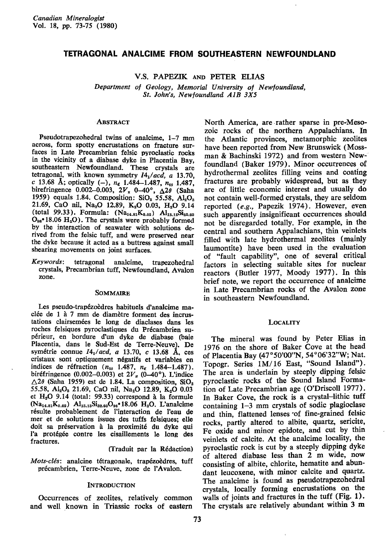# TETRAGONAL ANALCIME FBOM SOUTHEASTERN NEWFOUNDLAND

V.S. PAPEZIK AND PETER ELIAS

Department of Geology, Memorial University of Newfoundland, St. John's, Newfoundland AIB 3X5

## **ABSTRACT**

Pseudotrapezohedral twins of analcime, 1-Z mm across, form spotty encrustations on fracture surfaces in Late Precambrian felsic pyroclastic rocks in the vicinity of a diabase dyke in Placentia Bay, southeastern Newfoundland. These crystals are tetragonal, with known symmetry  $I4_1/acd$ , a 13.70, c 13.68 Å; optically (-),  $n_{\epsilon}$  1.484-1.487,  $n_{\omega}$  1.487, birefringence 0.002-0.003,  $2V_x$  0-40°,  $\Delta 2\theta$  (Saha 1959) equals 1.84. Composition:  $SiO<sub>2</sub>$  55.58,  $Al<sub>2</sub>O<sub>3</sub>$ 21.69, CaO nil, Na<sub>2</sub>O 12.89, K<sub>2</sub>O 0.03, H<sub>2</sub>O 9.14 (total 99.33). Formula:  $(Na_{14.81}K_{0.02})$   $Al_{15.15}Si_{12.93}$  $O_{96}$  18.06  $H_2O$ ). The crystals were probably formed by the interaction of seawater with solutions derived from the felsic tuff, and were preserved near the dyke because it acted as a buttress against small shearing movements on joint surfaces.

Keywords: tetragonal analcime, trapezohedral crystals, Precambrian tuff, Newfoundland. Avalon zone.

#### SOMMAIRE

Les pseudo-trap6zoddres habituels d'analcime maclée de 1 à 7 mm de diamètre forment des incrustations clairsemées le long de diaclases dans les roches felsiques pyroclastiques du Précambrien sup6rieur, en bordure d'un dyke de diabase (baie Placentia, dans le Sud-Est de Terre-Neuve). De symétrie connue  $I4_1/acd$ , a 13.70, c 13.68 Å, ces cristaux sont optiquement n6gatifs et variables en indices de réfraction ( $n_{\omega}$  1.487,  $n_{\epsilon}$  1.484-1.487). biréfringence (0.002-0.003) et  $2V_x$  (0-40°). L'indice  $\triangle$ 20 (Saha 1959) est de 1.84. La composition, SiO<sub>2</sub> 55.58, Al<sub>2</sub>O<sub>3</sub> 21.69, CaO nil, Na<sub>2</sub>O 12.89, K<sub>2</sub>O 0.03 et  $H<sub>2</sub>O$  9.14 (total: 99.33) correspond à la formule  $(Na_{14.81}K_{0.02})$  Al<sub>15.15</sub>Si<sub>32.93</sub>O<sub>96</sub>. 18.06 H<sub>2</sub>O. L'analcime r6sulte probablement de l'interaction de I'eau de mer et de solutions issues des tuffs felsigues; elle doit sa préservation à la proximité du dyke qui l'a protégée contre les cisaillements le long des fractures.

Clraduit par la R6daction)

Mots-clés: analcine tétragonale, trapézoèdres, tuff précambrien, Terre-Neuve, zone de l'Avalon.

### **INTRODUCTION**

Occurrences of zeolites, relatively common and well known in Triassic rocks of eastern

North America, are.rather sparse in pre-Mesozoic rocks of the northern Appalachians. In the Atlantic provinces, metamorphic zeolites have been reported from New Brunswick (Mossman & Bachinski 1972) and from western Newfoundland (Baker 1979). Minor occurrences of hydrothermal zeolites filling veins and coating fractures are probably widespread, but as they are of little economic interest and usually do not contain well'formed crystals, they are seldom reported (e,9., Papezik 1974). However, even such apparently insignificant occurrences should not be disregarded totally. For example, in the central and southern Appalachians, thin veinlets filled with late hydrothermal zeolites (mainly laumontite) have been used in the evaluation of "fault capability", one of several critical factors in selecting suitable sites for nuclear reactors (Butler 1977, Moody 1977). In this brief note, we report the occurrence of analcime in Late Precambrian rocks of the Avalon zone in southeastern Newfoundland.

### **LOCALITY**

The mineral was found by Peter Elias in 1976 on the shore of Baker Cove at the head of Placentia Bay (47°50'00"N, 54°06'32"W; Nat. Topogr. Series 1M/16 East, "Sound Islahd"). The area is underlain by steeply dipping felsic pyroclastic rocks of the Sound Island Formation of Late Precambrian age (O'Driscoll 1977). In Baker Cove, the rock is a crystal-lithic tuff containing  $1-3$  mm crystals of sodic plagioclase and thin, flattened lenses of fine-grained felsic rocks, partly altered to albite, quartz, sericite, Fe oxide and minor epidote, and cut by thin veinlets of calcite. At the analcime locality, the pyroclastic rock is cut by a steeply dipping dyke of altered diabase less than 2 m wide, now consisting of albite, chlorite, hematite and abun' dant leucoxene, with minor calcite and quartz. The analcime is found as pseudotrapezohedral crystals, locally forming encrustations on the walls of joints and fractures in the tuff (Fig.  $1$ ). The crystals are relatively abundant within 3 m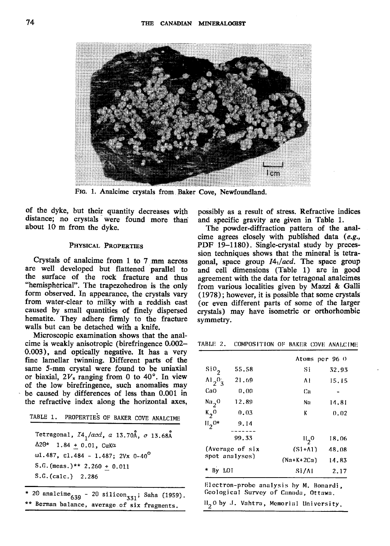

FIG. 1. Analcime crystals from Baker Cove, Newfoundland.

of the dyke, but their quantity decreases with distance; no crystals were found more than about 10 m from the dvke.

#### PHYSICAL PROPERTIES

Crystals of analcime from 1 to 7 mm across are well developed but flattened parallel to the surface of the rock fracture and thus "hemispherical". The trapezohedron is the only form observed. In appearance, the crystals vary from water-clear to milky with a reddish cast caused by small quantities of finely dispersed hematite. They adhere firmly to the fracture walls but can be detached with a knife.

Microscopic examination shows that the analcime is weakly anisotropic (birefringence 0.002- 0.003), and optically negative. It has a very fine lamellar twinning. Different parts of the same 5-mm crystal were found to be uniaxial or biaxial,  $2V_x$  ranging from 0 to 40°. In view of the low birefringence, such anomalies may be caused by differences of less than 0.001 in the refractive index along the horizontal axes,

TABLE 1. PROPERTIES OF BAKER COVE ANALCIME

Tetragonal, *I4<sub>1</sub>/acd*, *a*  $\Delta 2\Theta^*$  1.84 + 0.01, CuKa wl.487,  $\varepsilon$ l.484 - 1.487; 2Vx 0-40 $^{\texttt{C}}$  $13.70$ Å,  $c$   $13.68$ Å  $S.G.$  (meas.)\*\* 2.260 + 0.011 S.G. (ca1c.) 2.286

20 analcime $_{639}$  - 20 silicon<sub>331</sub>; Saha (1959). \*\* Berman balance, average of six fragments.

possibly as a result of stress. Refractive indices and specific gravity are given in Table 1.

The powder-diffraction pattern of the analcime agrees closely with published data  $(e.g.,)$ PDF 19-1180). Single-crystal study by precession techniques shows that the mineral is tetragonal, space group  $I4_1/acd$ . The space group and cell dimensions (Table 1) are in good agreement with the data for tetragonal analcimes from various localities given by Mazzi & Galli  $(1978)$ ; however, it is possible that some crystals (or even different parts of some of the larger crystals) may have isometric or orthorhombic symmetry.

TABLE 2. COMPOSITION OF BAKER COVE ANALCIME

|                                          |       | Atoms per 96.0        |       |
|------------------------------------------|-------|-----------------------|-------|
| $\sin \theta$                            | 55.58 | Si                    | 32.93 |
| $\frac{\text{Al}_2\text{O}_3}{\text{2}}$ | 21.69 | ۸l                    | 15.15 |
| CaO                                      | 0.00  | Ca                    |       |
| $\frac{Na}{2}$ <sup>0</sup>              | 12.89 | Nn                    | 14.81 |
| $\kappa$ <sub>2</sub> 0                  | 0.03  | K                     | 0.02  |
| $H_2^{0*}$                               | 9.14  |                       |       |
|                                          | 99.33 | $II_{2}$ <sup>0</sup> | 18.06 |
| (Average of six<br>spot analyses)        |       | $(Si+1)$              | 48.08 |
|                                          |       | $(Na+K+2Ca)$          | 14.83 |
| By LOT                                   |       | Si/AI                 | 2.17  |

Electron-probe analysis by M. Bonardi, Ccological Survcy of Canada, Ottawa.

 $\mathbb{H}_{2}\mathbb{0}$  by J. Vahtra, Memorial University.